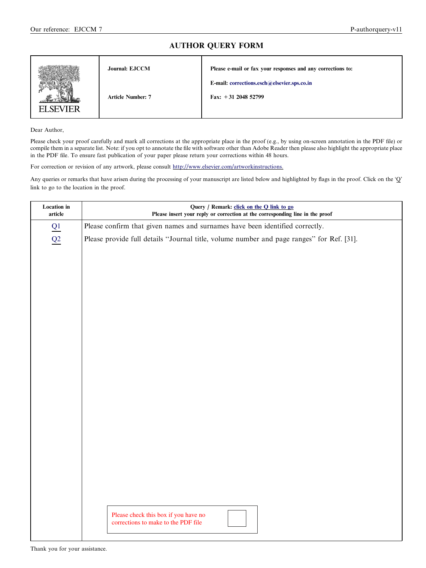# AUTHOR QUERY FORM

<span id="page-0-0"></span>

|                 | Journal: EJCCM           | Please e-mail or fax your responses and any corrections to:          |
|-----------------|--------------------------|----------------------------------------------------------------------|
| <b>ELSEVIER</b> | <b>Article Number: 7</b> | E-mail: corrections.esch@elsevier.sps.co.in<br>Fax: $+31$ 2048 52799 |

Dear Author,

Please check your proof carefully and mark all corrections at the appropriate place in the proof (e.g., by using on-screen annotation in the PDF file) or compile them in a separate list. Note: if you opt to annotate the file with software other than Adobe Reader then please also highlight the appropriate place in the PDF file. To ensure fast publication of your paper please return your corrections within 48 hours.

For correction or revision of any artwork, please consult http://www.elsevier.com/artworkinstructions.

Any queries or remarks that have arisen during the processing of your manuscript are listed below and highlighted by flags in the proof. Click on the 'Q' link to go to the location in the proof.

| Location in<br>article | Query / Remark: click on the Q link to go<br>Please insert your reply or correction at the corresponding line in the proof |  |  |
|------------------------|----------------------------------------------------------------------------------------------------------------------------|--|--|
| Q1                     | Please confirm that given names and surnames have been identified correctly.                                               |  |  |
| Q2                     | Please provide full details "Journal title, volume number and page ranges" for Ref. [31].                                  |  |  |
|                        |                                                                                                                            |  |  |
|                        |                                                                                                                            |  |  |
|                        |                                                                                                                            |  |  |
|                        |                                                                                                                            |  |  |
|                        |                                                                                                                            |  |  |
|                        |                                                                                                                            |  |  |
|                        |                                                                                                                            |  |  |
|                        |                                                                                                                            |  |  |
|                        |                                                                                                                            |  |  |
|                        |                                                                                                                            |  |  |
|                        |                                                                                                                            |  |  |
|                        |                                                                                                                            |  |  |
|                        |                                                                                                                            |  |  |
|                        |                                                                                                                            |  |  |
|                        |                                                                                                                            |  |  |
|                        |                                                                                                                            |  |  |
|                        |                                                                                                                            |  |  |
|                        |                                                                                                                            |  |  |
|                        |                                                                                                                            |  |  |
|                        |                                                                                                                            |  |  |
|                        |                                                                                                                            |  |  |
|                        | Please check this box if you have no<br>corrections to make to the PDF file                                                |  |  |
|                        |                                                                                                                            |  |  |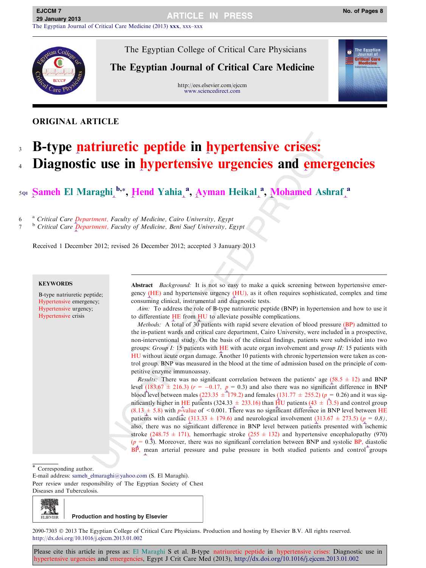<span id="page-1-0"></span>[The Egyptian Journal of Critical Care Medicine \(2013\)](http://dx.doi.org/10.1016/j.ejccm.2013.01.002) xxx, xxx–[xxx](http://dx.doi.org/10.1016/j.ejccm.2013.01.002)



The Egyptian College of Critical Care Physicians

The Egyptian Journal of Critical Care Medicine

http://ees.elsevier.com/ejccm [www.sciencedirect.com](http://www.sciencedirect.com/science/journal/20907303)



# ORIGINAL ARTICLE

# <sup>3</sup> B-type natriuretic peptide in hypertensive crises: Diagnostic use in hypertensive urgencies and emergencies

501 Sameh El Maraghi<sub>, <sup>b,\*</sup>, Hend Yahia<sub>, 4</sub>, Ayman Heikal, <sup>a</sup>, Mohamed Ashraf, <sup>a</sup></sub>

6 <sup>a</sup> Critical Care Department, Faculty of Medicine, Cairo University, Egypt

<sup>b</sup> Critical Care Department, Faculty of Medicine, Beni Suef University, Egypt

Received 1 December 2012; revised 26 December 2012; accepted 3 January 2013

## **KEYWORDS**

B-type natriuretic peptide; Hypertensive emergency; Hypertensive urgency; Hypertensive crisis

Abstract Background: It is not so easy to make a quick screening between hypertensive emergency (HE) and hypertensive urgency (HU), as it often requires sophisticated, complex and time consuming clinical, instrumental and diagnostic tests.

Aim: To address the role of B-type natriuretic peptide (BNP) in hypertension and how to use it to differentiate HE from HU to alleviate possible complications.

*Methods:* A total of  $30$  patients with rapid severe elevation of blood pressure (BP) admitted to the in-patient wards and critical care department, Cairo University, were included in a prospective, non-interventional study. On the basis of the clinical findings, patients were subdivided into two groups: Group I: 15 patients with HE with acute organ involvement and group II: 15 patients with HU without acute organ damage. Another 10 patients with chronic hypertension were taken as control group. BNP was measured in the blood at the time of admission based on the principle of competitive enzyme immunoassay.

Results: There was no significant correlation between the patients' age  $(58.5 \pm 12)$  and BNP level  $(183.67 \pm 216.3)$   $(r = -0.17, p = 0.3)$  and also there was no significant difference in BNP blood level between males (223.35  $\pm$  179.2) and females (131.77  $\pm$  255.2) ( $p = 0.26$ ) and it was significantly higher in HE patients (324.33  $\pm$  233.16) than HU patients (43  $\pm$  13.5) and control group  $(8.13 \pm 5.8)$  with *p*-value of <0.001. There was no significant difference in BNP level between HE patients with cardiac (313.33  $\pm$  179.6) and neurological involvement (313.67  $\pm$  273.5) ( $p = 0.8$ ), also, there was no significant difference in BNP level between patients presented with ischemic stroke (248.75  $\pm$  171), hemorrhagic stroke (255  $\pm$  132) and hypertensive encephalopathy (970)  $(p = 0.3)$ . Moreover, there was no significant correlation between BNP and systolic BP, diastolic BP, mean arterial pressure and pulse pressure in both studied patients and control groups

Corresponding author.

E-mail address: [sameh\\_elmaraghi@yahoo.com](mailto:sameh_elmaraghi@yahoo.com) (S. El Maraghi). Peer review under responsibility of The Egyptian Society of Chest Diseases and Tuberculosis.

**ELSEVIER Production and hosting by Elsevier**

2090-7303 @ 2013 The Egyptian College of Critical Care Physicians. Production and hosting by Elsevier B.V. All rights reserved. <http://dx.doi.org/10.1016/j.ejccm.2013.01.002>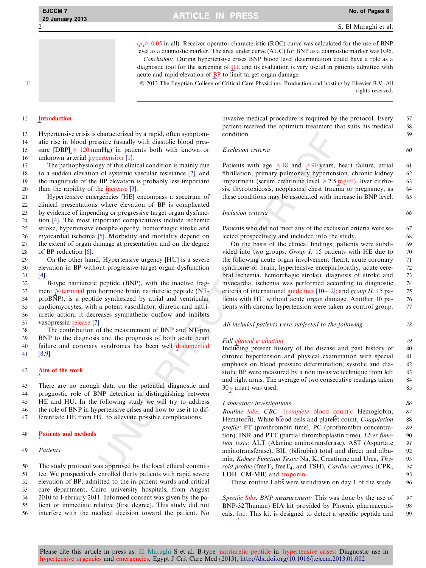$(p > 0.05$  in all). Receiver operator characteristic (ROC) curve was calculated for the use of BNP level as a diagnostic marker. The area under curve (AUC) for BNP as a diagnostic marker was 0.96. Conclusion: During hypertensive crises BNP blood level determination could have a role as a diagnostic tool for the screening of HE and its evaluation is very useful in patients admitted with acute and rapid elevation of BP to limit target organ damage.

 $© 2013$  The Egyptian College of Critical Care Physicians. Production and hosting by Elsevier B.V. All rights reserved.

#### 12 Introduction

11

 Hypertensive crisis is characterized by a rapid, often symptom- atic rise in blood pressure (usually with diastolic blood pres- sure [DBP] > 120 mmHg) in patients both with known or unknown arterial hypertension [\[1\]](#page-6-0).

 The pathophysiology of this clinical condition is mainly due to a sudden elevation of systemic vascular resistance [\[2\],](#page-6-0) and the magnitude of the BP elevation is probably less important than the rapidity of the increase [\[3\].](#page-6-0)

 Hypertensive emergencies [HE] encompass a spectrum of clinical presentations where elevation of BP is complicated by evidence of impending or progressive target organ dysfunc- tion [\[4\]](#page-6-0). The most important complications include ischemic stroke, hypertensive encephalopathy, hemorrhagic stroke and myocardial ischemia [\[5\]](#page-6-0). Morbidity and mortality depend on the extent of organ damage at presentation and on the degree of BP reduction [\[6\].](#page-7-0)

29 On the other hand, Hypertensive urgency [HU] is a severe 30 elevation in BP without progressive target organ dysfunction 31 [\[4\]](#page-6-0).

 B-type natriuretic peptide (BNP), with the inactive frag- ment N-terminal pro hormone brain natriuretic peptide (NT- pro $\overline{BNP}$ ), is a peptide synthesized by atrial and ventricular cardiomyocytes, with a potent vasodilator, diuretic and natri- uretic action; it decreases sympathetic outflow and inhibits vasopressin release [\[7\].](#page-7-0)

 The contribution of the measurement of BNP and NT-pro BNP to the diagnosis and the prognosis of both acute heart failure and coronary syndromes has been well documented 41 [\[8,9\]](#page-7-0).

#### 42 Aim of the work

 There are no enough data on the potential diagnostic and prognostic role of BNP detection in distinguishing between HE and HU. In the following study we will try to address the role of BNP in hypertensive crises and how to use it to dif-ferentiate HE from HU to alleviate possible complications.

# 48 Patients and methods

#### 49 Patients

 The study protocol was approved by the local ethical commit- tee. We prospectively enrolled thirty patients with rapid severe elevation of BP, admitted to the in-patient wards and critical care department, Cairo university hospitals; from August 2010 to February 2011. Informed consent was given by the pa- tient or immediate relative (first degree). This study did not interfere with the medical decision toward the patient. No invasive medical procedure is required by the protocol. Every 57 patient received the optimum treatment that suits his medical 58 condition. 59

#### Exclusion criteria 60

Patients with age  $\leq 18$  and  $\geq 90$  years, heart failure, atrial 61 fibrillation, primary pulmonary hypertension, chronic kidney 62 impairment (serum creatinine level  $> 2.5$  mg/dl), liver cirrho- 63 sis, thyrotoxicosis, neoplasms, chest trauma or pregnancy, as 64 these conditions may be associated with increase in BNP level. 65

#### Inclusion criteria 66

Patients who did not meet any of the exclusion criteria were se- 67 lected prospectively and included into the study. 68

On the basis of the clinical findings, patients were subdi- 69 vided into two groups: *Group I:* 15 patients with HE due to 70 the following acute organ involvement (heart; acute coronary 71 syndrome or brain; hypertensive encephalopathy, acute cere- 72 bral ischemia, hemorrhagic stroke); diagnosis of stroke and 73 myocardial ischemia was performed according to diagnostic 74 criteria of international guidelines [\[10–12\]](#page-7-0); and group II: 15 pa- 75 tients with HU without acute organ damage. Another 10 pa- 76 tients with chronic hypertension were taken as control group. 77

All included patients were subjected to the following 78

#### Full clinical evaluation 79

Including present history of the disease and past history of 80 chronic hypertension and physical examination with special 81 emphasis on blood pressure determination; systolic and dia- 82 stolic BP were measured by a non invasive technique from left 83 and right arms. The average of two consecutive readings taken 84 30 s apart was used. 85

#### Laboratory investigations 86

Routine labs. CBC (complete blood count): Hemoglobin, 87 Hematocrit, White blood cells and platelet count, *Coagulation* 88 profile: PT (prothrombin time), PC (prothrombin concentra- 89 tion), INR and PTT (partial thromboplastin time), Liver func- 90 tion tests: ALT (Alanine aminotransferase), AST (Aspartate 91 aminotransferase), BIL (bilirubin) total and direct and albu- 92 min, Kidney Function Tests: Na, K, Creatinine and Urea, Thy-<br>93 roid profile (free  $T_3$  free  $T_4$ , and TSH), Cardiac enzymes (CPK, 94 LDH, CM-MB) and troponin. 95

These routine Labs were withdrawn on day 1 of the study. 96

Specific labs. BNP measurement: This was done by the use of 97 BNP-32 (human) EIA kit provided by Phoenix pharmaceuti- 98 cals, Inc. This kit is designed to detect a specific peptide and 99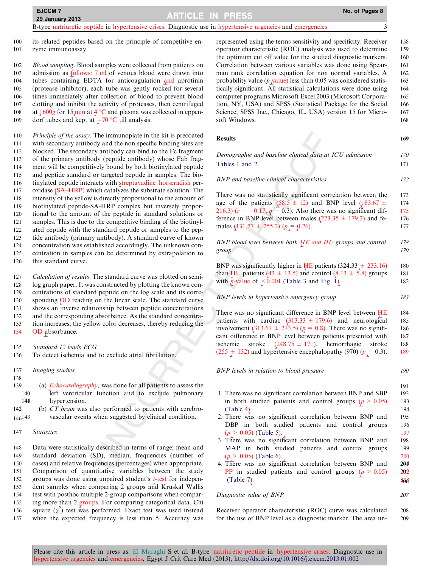100 its related peptides based on the principle of competitive en-101 zyme immunoassay.

 Blood sampling. Blood samples were collected from patients on admission as follows: 7 ml of venous blood were drawn into tubes containing EDTA for anticoagulation and aprotinin (protease inhibitor), each tube was gently rocked for several times immediately after collection of blood to prevent blood clotting and inhibit the activity of proteases, then centrifuged 108 at  $1600g$  for 15 min at  $4^{\circ}$ C and plasma was collected in eppen-109 dorf tubes and kept at  $-70$  °C till analysis.

110 Principle of the assay. The immunoplate in the kit is precoated with secondary antibody and the non specific binding sites are blocked. The secondary antibody can bind to the Fc fragment of the primary antibody (peptide antibody) whose Fab frag- ment will be competitively bound by both biotinylated peptide and peptide standard or targeted peptide in samples. The bio- tinylated peptide interacts with streptavadine–horseradish per- oxidase (SA–HRP) which catalyzes the substrate solution. The intensity of the yellow is directly proportional to the amount of biotinylated peptide-SA-HRP complex but inversely propor- tional to the amount of the peptide in standard solutions or samples. This is due to the competitive binding of the biotinyl- ated peptide with the standard peptide or samples to the pep- tide antibody (primary antibody). A standard curve of known concentration was established accordingly. The unknown con- centration in samples can be determined by extrapolation to this standard curve.

127 Calculation of results. The standard curve was plotted on semi- log graph paper. It was constructed by plotting the known con- centrations of standard peptide on the log scale and its corre- sponding OD reading on the linear scale. The standard curve shows an inverse relationship between peptide concentrations and the corresponding absorbance. As the standard concentra- tion increases, the yellow color decreases, thereby reducing the OD absorbance.

135 Standard 12 leads ECG

- 136 To detect ischemia and to exclude atrial fibrillation.
- 137 Imaging studies
- 138 139 (a) *Echocardiography*; was done for all patients to assess the 140 left ventricular function and to exclude pulmonary hypertension. 144
- (b)  $CT$  brain was also performed to patients with cerebrovascular events when suggested by clinical condition. 145 146<sup>143</sup>
- 147 Statistics

 Data were statistically described in terms of range; mean and standard deviation (SD), median, frequencies (number of cases) and relative frequencies (percentages) when appropriate. Comparison of quantitative variables between the study groups was done using unpaired student's t-test for indepen- dent samples when comparing 2 groups and Kruskal Wallis test with posthoc multiple 2-group comparisons when compar- ing more than 2 groups. For comparing categorical data, Chi 156 square  $(\chi^2)$  test was performed. Exact test was used instead when the expected frequency is less than 5. Accuracy was represented using the terms sensitivity and specificity. Receiver 158 operator characteristic (ROC) analysis was used to determine 159 the optimum cut off value for the studied diagnostic markers. 160 Correlation between various variables was done using Spear- 161 man rank correlation equation for non normal variables. A 162 probability value  $(p_{\text{t}}$ value) less than 0.05 was considered statis- 163 tically significant. All statistical calculations were done using 164 computer programs Microsoft Excel 2003 (Microsoft Corpora- 165 tion, NY, USA) and SPSS (Statistical Package for the Social 166 Science; SPSS Inc., Chicago, IL, USA) version 15 for Micro- 167 soft Windows. 168

Results 169

| Demographic and baseline clinical data at ICU admission | 170. |
|---------------------------------------------------------|------|
| Tables 1 and 2.                                         | 171  |
| BNP and baseline clinical characteristics               | 172  |

There was no statistically significant correlation between the 173 age of the patients  $(58.5 \pm 12)$  and BNP level  $(183.67 \pm 174)$ 216.3) ( $r = -0.17$ ,  $p = 0.3$ ). Also there was no significant difference in BNP level between males  $(223.35 \pm 179.2)$  and fe- 176 males  $(131.77 \pm 255.2)$   $(p = 0.26)$ . 177

BNP blood level between both HE and HU groups and control 178 group and the set of the set of the set of the set of the set of the set of the set of the set of the set of the set of the set of the set of the set of the set of the set of the set of the set of the set of the set of the

| BNP was significantly higher in HE patients $(324.33 \pm 233.16)$    | 180 |
|----------------------------------------------------------------------|-----|
| than HU patients (43 $\pm$ 13.5) and control (8.13 $\pm$ 5.8) groups | 181 |
| with <i>p</i> -value of $\leq 0.001$ (Table 3 and Fig. 1).           | 182 |

BNP levels in hypertensive emergency group 183

There was no significant difference in BNP level between HE 184 patients with cardiac  $(313.33 \pm 179.6)$  and neurological 185 involvement  $(313.67 \pm 273.5)$  ( $p = 0.8$ ). There was no signifi- 186 cant difference in BNP level between patients presented with 187 ischemic stroke  $(248.75 \pm 171)$ , hemorrhagic stroke 188  $(255 \pm 132)$  and hypertensive encephalopathy (970) ( $p = 0.3$ ). 189

BNP levels in relation to blood pressure 190

191

- 1. There was no significant correlation between BNP and SBP 192 in both studied patients and control groups  $(p > 0.05)$  193 ([Table 4\)](#page-5-0). 194
- 2. There was no significant correlation between BNP and 195 DBP in both studied patients and control groups 196  $(p > 0.05)$  [\(Table 5\)](#page-5-0). 197
- 3. There was no significant correlation between BNP and 198 MAP in both studied patients and control groups 199  $(p > 0.05)$  [\(Table 6\)](#page-5-0). 200
- 4. There was no significant correlation between BNP and **PP** in studied patients and control groups  $(p > 0.05)$  $(Table 7)$  $(Table 7)$ . 204 205 206

## Diagnostic value of BNP 207

Receiver operator characteristic (ROC) curve was calculated 208 for the use of BNP level as a diagnostic marker. The area un- 209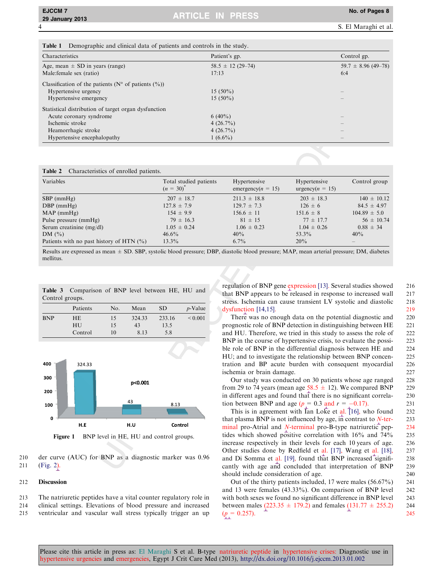<span id="page-4-0"></span>Table 1 Demographic and clinical data of patients and controls in the study.

| Characteristics                                               | Patient's gp.        | Control gp.            |
|---------------------------------------------------------------|----------------------|------------------------|
| Age, mean $\pm$ SD in years (range)                           | $58.5 \pm 12(29-74)$ | $59.7 \pm 8.96(49-78)$ |
| Male: female sex (ratio)                                      | 17:13                | 6:4                    |
| Classification of the patients ( $N^{\circ}$ of patients (%)) |                      |                        |
| Hypertensive urgency                                          | $15(50\%)$           | –                      |
| Hypertensive emergency                                        | $15(50\%)$           |                        |
| Statistical distribution of target organ dysfunction          |                      |                        |
| Acute coronary syndrome                                       | $6(40\%)$            |                        |
| Ischemic stroke                                               | $4(26.7\%)$          |                        |
| Heamorrhagic stroke                                           | $4(26.7\%)$          |                        |
| Hypertensive encephalopathy                                   | $1(6.6\%)$           | $\qquad \qquad -$      |

| Variables                                   | Total studied patients<br>$(n = 30)^{n}$ | Hypertensive<br>emergency( $n = 15$ ) | Hypertensive<br>$\text{argency}(n = 15)$ | Control group    |
|---------------------------------------------|------------------------------------------|---------------------------------------|------------------------------------------|------------------|
| $SBP$ (mmHg)                                | $207 \pm 18.7$                           | $211.3 \pm 18.8$                      | $203 \pm 18.3$                           | $140 \pm 10.12$  |
| $DBP$ (mmHg)                                | $127.8 \pm 7.9$                          | $129.7 \pm 7.3$                       | $126 \pm 6$                              | $84.5 \pm 4.97$  |
| $MAP$ (mmHg)                                | $154 \pm 9.9$                            | $156.6 \pm 11$                        | $151.6 \pm 8$                            | $104.89 \pm 5.0$ |
| Pulse pressure (mmHg)                       | $79 \pm 16.3$                            | $81 \pm 15$                           | $77 \pm 17.7$                            | $56 \pm 10.74$   |
| Serum creatinine $(mg/dl)$                  | $1.05 \pm 0.24$                          | $1.06 \pm 0.23$                       | $1.04 \pm 0.26$                          | $0.88 \pm 34$    |
| DM $(\% )$                                  | $46.6\%$                                 | 40%                                   | 53.3%                                    | 40%              |
| Patients with no past history of HTN $(\%)$ | $13.3\%$                                 | $6.7\%$                               | 20%                                      | $\qquad \qquad$  |

Results are expressed as mean ± SD. SBP, systolic blood pressure; DBP, diastolic blood pressure; MAP, mean arterial pressure; DM, diabetes mellitus.

Table 3 Comparison of BNP level between HE, HU and Control groups.

|            | Patients  | No. | Mean   | SD.    | $p$ -Value   |
|------------|-----------|-----|--------|--------|--------------|
| <b>BNP</b> | <b>HE</b> | 15  | 324.33 | 233.16 | ${}_{0.001}$ |
|            | <b>HU</b> | 15  | 43     | 13.5   |              |
|            | Control   | 10  | 8.13   | 5.8    |              |
|            |           |     |        |        |              |



Figure 1 BNP level in HE, HU and control groups.

210 der curve (AUC) for BNP as a diagnostic marker was 0.96 211 ([Fig. 2\)](#page-5-0).

#### 212 Discussion

213 The natriuretic peptides have a vital counter regulatory role in 214 clinical settings. Elevations of blood pressure and increased 215 ventricular and vascular wall stress typically trigger an up regulation of BNP gene expression [\[13\].](#page-7-0) Several studies showed 216 that BNP appears to be released in response to increased wall 217 stress. Ischemia can cause transient LV systolic and diastolic 218 dysfunction [\[14,15\]](#page-7-0). 219

There was no enough data on the potential diagnostic and 220 prognostic role of BNP detection in distinguishing between HE 221 and HU. Therefore, we tried in this study to assess the role of 222 BNP in the course of hypertensive crisis, to evaluate the possi-<br>223 ble role of BNP in the differential diagnosis between HE and 224 HU; and to investigate the relationship between BNP concen- 225 tration and BP acute burden with consequent myocardial 226 ischemia or brain damage. 227

Our study was conducted on 30 patients whose age ranged 228 from 29 to 74 years (mean age  $58.5 \pm 12$ ). We compared BNP 229 in different ages and found that there is no significant correla- 230 tion between BNP and age  $(p = 0.3$  and  $r = -0.17$ ). 231

This is in agreement with  $\bar{\text{I}}$ an Loke et al. [\[16\],](#page-7-0) who found 232 that plasma BNP is not influenced by age, in contrast to  $N$ -ter- 233 minal pro-Atrial and *N*-terminal pro-B-type natriuretic pep- 234 tides which showed positive correlation with 16% and 74% 235 increase respectively in their levels for each 10 years of age. 236 Other studies done by Redfield et al. [\[17\],](#page-7-0) Wang et al. [\[18\]](#page-7-0), 237 and Di Somma et al. [\[19\],](#page-7-0) found that BNP increased signifi- 238 cantly with age and concluded that interpretation of BNP 239 should include consideration of age. 240

Out of the thirty patients included, 17 were males (56.67%) 241 and 13 were females (43.33%). On comparison of BNP level 242 with both sexes we found no significant difference in BNP level 243 between males (223.35  $\pm$  179.2) and females (131.77  $\pm$  255.2) 244  $(p = 0.257)$ .  $\qquad \qquad$  245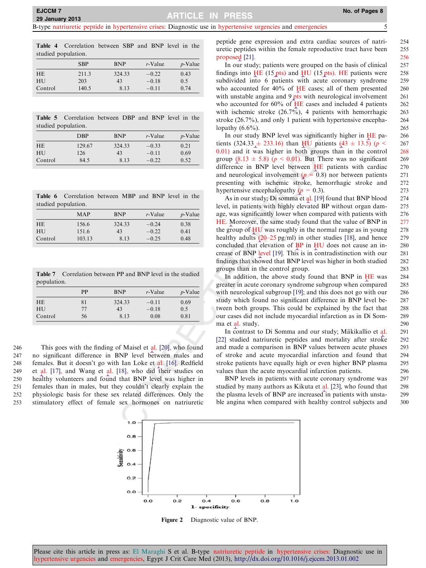<span id="page-5-0"></span>B-type natriuretic peptide in hypertensive crises: Diagnostic use in hypertensive urgencies and emergencies 5

Table 4 Correlation between SBP and BNP level in the studied population.

|           | <b>SBP</b> | <b>BNP</b> | $r$ -Value | $p$ -Value |  |
|-----------|------------|------------|------------|------------|--|
| <b>HE</b> | 211.3      | 324.33     | $-0.22$    | 0.43       |  |
| <b>HU</b> | 203        | 43         | $-0.18$    | 0.5        |  |
| Control   | 140.5      | 8.13       | $-0.11$    | 0.74       |  |

Table 5 Correlation between DBP and BNP level in the studied population.

| . .       |            |            |            |            |
|-----------|------------|------------|------------|------------|
|           | <b>DBP</b> | <b>BNP</b> | $r$ -Value | $p$ -Value |
| <b>HE</b> | 129.67     | 324.33     | $-0.33$    | 0.21       |
| HU        | 126        | 43         | $-0.11$    | 0.69       |
| Control   | 84.5       | 8.13       | $-0.22$    | 0.52       |

Table 6 Correlation between MBP and BNP level in the studied population.

|         | <b>MAP</b> | <b>BNP</b> | $r$ -Value | $p$ -Value |
|---------|------------|------------|------------|------------|
| НE      | 156.6      | 324.33     | $-0.24$    | 0.38       |
| HU      | 151.6      | 43         | $-0.22$    | 0.41       |
| Control | 103.13     | 8.13       | $-0.25$    | 0.48       |

Table 7 Correlation between PP and BNP level in the studied population.

|         | PP | <b>BNP</b> | r-Value | $p$ -Value |
|---------|----|------------|---------|------------|
| HE      | 81 | 324.33     | $-0.11$ | 0.69       |
| HU      | 77 | 43         | $-0.18$ | 0.5        |
| Control | 56 | 8.13       | 0.08    | 0.81       |

 This goes with the finding of Maisel et al. [\[20\],](#page-7-0) who found no significant difference in BNP level between males and females. But it doesn't go with Ian Loke et al. [\[16\],](#page-7-0) Redfield et al. [\[17\],](#page-7-0) and Wang et al. [\[18\],](#page-7-0) who did their studies on healthy volunteers and found that BNP level was higher in females than in males, but they couldn't clearly explain the physiologic basis for these sex related differences. Only the stimulatory effect of female sex hormones on natriuretic peptide gene expression and extra cardiac sources of natri- 254 uretic peptides within the female reproductive tract have been 255 proposed [\[21\].](#page-7-0) 256

In our study; patients were grouped on the basis of clinical 257 findings into  $\overline{HE}$  (15 pts) and  $\overline{HU}$  (15 pts). HE patients were 258 subdivided into 6 patients with acute coronary syndrome 259 who accounted for 40% of HE cases; all of them presented 260 with unstable angina and 9 pts with neurological involvement 261 who accounted for 60% of HE cases and included 4 patients 262 with ischemic stroke  $(26.7\%)$ , 4 patients with hemorrhagic 263 stroke (26.7%), and only 1 patient with hypertensive encepha- 264 lopathy  $(6.6\%)$ . 265

In our study BNP level was significantly higher in HE pa- 266 tients (324.33  $\pm$  233.16) than HU patients (43  $\pm$  13.5) (p < 267 0.01) and it was higher in both groups than in the control 268 group  $(8.13 \pm 5.8)$  ( $p < 0.01$ ). But There was no significant 269 difference in BNP level between HE patients with cardiac 270 and neurological involvement ( $p = 0.8$ ) nor between patients 271 presenting with ischemic stroke, hemorrhagic stroke and 272 hypertensive encephalopathy  $(p = 0.3)$ . 273

As in our study; Di somma et al. [\[19\]](#page-7-0) found that BNP blood 274 level, in patients with highly elevated BP without organ dam- 275 age, was significantly lower when compared with patients with 276 HE. Moreover, the same study found that the value of BNP in 277 the group of HU was roughly in the normal range as in young 278 healthy adults (20–25 pg/ml) in other studies [\[18\],](#page-7-0) and hence 279 concluded that elevation of BP in HU does not cause an in- 280 crease of BNP level [\[19\]](#page-7-0). This is in contradistinction with our 281 findings that showed that BNP level was higher in both studied 282 groups than in the control group. 283

In addition, the above study found that BNP in HE was 284 greater in acute coronary syndrome subgroup when compared 285 with neurological subgroup [\[19\];](#page-7-0) and this does not go with our 286 study which found no significant difference in BNP level be- 287 tween both groups. This could be explained by the fact that 288 our cases did not include myocardial infarction as in Di Som- 289 ma et al. study. 290

In contrast to Di Somma and our study; Mäkikallio et al. 291 [\[22\]](#page-7-0) studied natriuretic peptides and mortality after stroke  $292$ and made a comparison in BNP values between acute phases 293 of stroke and acute myocardial infarction and found that 294 stroke patients have equally high or even higher BNP plasma 295 values than the acute myocardial infarction patients. 296

BNP levels in patients with acute coronary syndrome was 297 studied by many authors as Kikuta et al. [\[23\],](#page-7-0) who found that 298 the plasma levels of BNP are increased in patients with unsta- 299 ble angina when compared with healthy control subjects and 300



Figure 2 Diagnostic value of BNP.

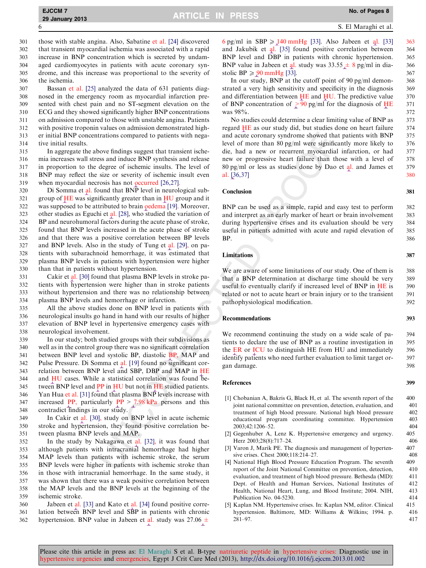<span id="page-6-0"></span> those with stable angina. Also, Sabatine et al. [\[24\]](#page-7-0) discovered that transient myocardial ischemia was associated with a rapid increase in BNP concentration which is secreted by undam- aged cardiomyocytes in patients with acute coronary syn- drome, and this increase was proportional to the severity of the ischemia.

 Bassan et al. [\[25\]](#page-7-0) analyzed the data of 631 patients diag- nosed in the emergency room as myocardial infarction pre- sented with chest pain and no ST-segment elevation on the ECG and they showed significantly higher BNP concentrations on admission compared to those with unstable angina. Patients with positive troponin values on admission demonstrated high- er initial BNP concentrations compared to patients with nega-tive initial results.

 In aggregate the above findings suggest that transient ische- mia increases wall stress and induce BNP synthesis and release in proportion to the degree of ischemic insults. The level of BNP may reflect the size or severity of ischemic insult even when myocardial necrosis has not occurred [\[26,27\].](#page-7-0)

 Di Somma et al. found that BNP level in neurological sub-321 group of HE was significantly greater than in HU group and it 322 was supposed to be attributed to brain order [\[19\].](#page-7-0) Moreover, other studies as Eguchi et al. [\[28\],](#page-7-0) who studied the variation of BP and neurohumoral factors during the acute phase of stroke, found that BNP levels increased in the acute phase of stroke and that there was a positive correlation between BP levels and BNP levels. Also in the study of Tung et al. [\[29\],](#page-7-0) on pa- tients with subarachnoid hemorrhage, it was estimated that plasma BNP levels in patients with hypertension were higher than that in patients without hypertension.

 Cakir et al. [\[30\]](#page-7-0) found that plasma BNP levels in stroke pa- tients with hypertension were higher than in stroke patients without hypertension and there was no relationship between plasma BNP levels and hemorrhage or infarction.

 All the above studies done on BNP level in patients with neurological insults go hand in hand with our results of higher elevation of BNP level in hypertensive emergency cases with neurological involvement.

 In our study; both studied groups with their subdivisions as well as in the control group there was no significant correlation between BNP level and systolic BP, diastolic BP, MAP and Pulse Pressure. Di Somma et al. [\[19\]](#page-7-0) found no significant cor- relation between BNP level and SBP, DBP and MAP in HE and HU cases. While a statistical correlation was found be- tween BNP level and PP in HU but not in HE studied patients. 346 Yan Hua et al. [\[31\]](#page-7-0) found that plasma BNP levels increase with 347 increased PP, particularly  $PP > 7.98$  kPa persons and this contradict findings in our study.

349 In Cakir et al. [\[30\],](#page-7-0) study on BNP level in acute ischemic 350 stroke and hypertension, they found positive correlation be-351 tween plasma BNP levels and MAP.

 In the study by Nakagawa et al. [\[32\]](#page-7-0), it was found that although patients with intracranial hemorrhage had higher MAP levels than patients with ischemic stroke, the serum BNP levels were higher in patients with ischemic stroke than in those with intracranial hemorrhage. In the same study, it was shown that there was a weak positive correlation between the MAP levels and the BNP levels at the beginning of the ischemic stroke.

360 Jabeen et al. [\[33\]](#page-7-0) and Kato et al. [\[34\]](#page-7-0) found positive corre-361 lation between BNP level and SBP in patients with chronic 362 hypertension. BNP value in Jabeen et al. study was  $27.06 \pm$ 

6 pg/ml in SBP  $\geq 140$  mmHg [\[33\]](#page-7-0). Also Jabeen et al. [33] 363 and Jakubik et al. [\[35\]](#page-7-0) found positive correlation between 364 BNP level and DBP in patients with chronic hypertension. 365 BNP value in Jabeen et al. study was  $33.55 \pm 8$  pg/ml in dia- 366 stolic BP  $\geqslant$  90 mmHg [\[33\]](#page-7-0). 367

In our study, BNP at the cutoff point of 90 pg/ml demon- 368 strated a very high sensitivity and specificity in the diagnosis 369 and differentiation between HE and HU. The predictive value 370 of BNP concentration of  $> 90$  pg/ml for the diagnosis of HE 371 was  $98\%$ . 372

No studies could determine a clear limiting value of BNP as 373 regard HE as our study did, but studies done on heart failure 374 and acute coronary syndrome showed that patients with BNP 375 level of more than 80 pg/ml were significantly more likely to 376 die, had a new or recurrent myocardial infarction, or had 377 new or progressive heart failure than those with a level of 378 80 pg/ml or less as studies done by Dao et al. and James et 379 al. [\[36,37\]](#page-7-0) 380

#### **Conclusion** 381

BNP can be used as a simple, rapid and easy test to perform 382 and interpret as an early marker of heart or brain involvement 383 during hypertensive crises and its evaluation should be very 384 useful in patients admitted with acute and rapid elevation of 385 **BP.** 386

#### Limitations 387

We are aware of some limitations of our study. One of them is 388 that a BNP determination at discharge time should be very 389 useful to eventually clarify if increased level of BNP in HE is 390 related or not to acute heart or brain injury or to the transient 391 pathophysiological modification. 392

#### Recommendations 393

We recommend continuing the study on a wide scale of pa- 394 tients to declare the use of BNP as a routine investigation in 395 the ER or ICU to distinguish HE from HU and immediately 396 identify patients who need further evaluation to limit target or-<br>397 gan damage. 398

## References 399

- [1] Chobanian A, Bakris G, Black H, et al. The seventh report of the 400 joint national committee on prevention, detection, evaluation, and 401 treatment of high blood pressure. National high blood pressure 402 educational program coordinating committee. Hypertension 403 2003;42:1206–52. 404
- [2] Gegenhuber A, Lenz K. Hypertensive emergency and urgency. 405 Herz 2003;28(8):717–24. 406
- [3] Varon J, Marik PE. The diagnosis and management of hyperten- 407 sive crises. Chest 2000;118:214–27. 408
- [4] National High Blood Pressure Education Program. The seventh 409 report of the Joint National Committee on prevention, detection, 410 evaluation, and treatment of high blood pressure. Bethesda (MD): 411 Dept. of Health and Human Services, National Institutes of 412 Health, National Heart, Lung, and Blood Institute; 2004. NIH, 413 Publication No. 04-5230. 414
- [5] Kaplan NM. Hypertensive crises. In: Kaplan NM, editor. Clinical 415 hypertension. Baltimore, MD: Williams & Wilkins; 1994. p. 416 281–97. 417